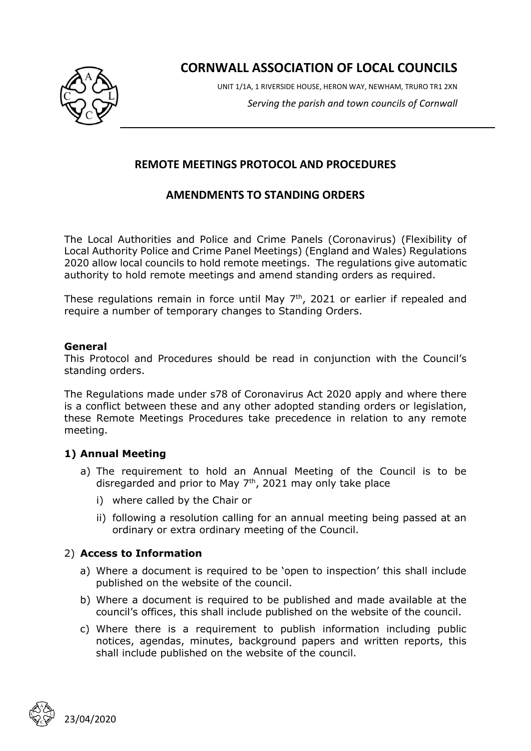

**CORNWALL ASSOCIATION OF LOCAL COUNCILS**

UNIT 1/1A, 1 RIVERSIDE HOUSE, HERON WAY, NEWHAM, TRURO TR1 2XN *Serving the parish and town councils of Cornwall*

# **REMOTE MEETINGS PROTOCOL AND PROCEDURES**

# **AMENDMENTS TO STANDING ORDERS**

The Local Authorities and Police and Crime Panels (Coronavirus) (Flexibility of Local Authority Police and Crime Panel Meetings) (England and Wales) Regulations 2020 allow local councils to hold remote meetings. The regulations give automatic authority to hold remote meetings and amend standing orders as required.

These regulations remain in force until May  $7<sup>th</sup>$ , 2021 or earlier if repealed and require a number of temporary changes to Standing Orders.

#### **General**

This Protocol and Procedures should be read in conjunction with the Council's standing orders.

The Regulations made under s78 of Coronavirus Act 2020 apply and where there is a conflict between these and any other adopted standing orders or legislation, these Remote Meetings Procedures take precedence in relation to any remote meeting.

### **1) Annual Meeting**

- a) The requirement to hold an Annual Meeting of the Council is to be disregarded and prior to May  $7<sup>th</sup>$ , 2021 may only take place
	- i) where called by the Chair or
	- ii) following a resolution calling for an annual meeting being passed at an ordinary or extra ordinary meeting of the Council.

### 2) **Access to Information**

- a) Where a document is required to be 'open to inspection' this shall include published on the website of the council.
- b) Where a document is required to be published and made available at the council's offices, this shall include published on the website of the council.
- c) Where there is a requirement to publish information including public notices, agendas, minutes, background papers and written reports, this shall include published on the website of the council.

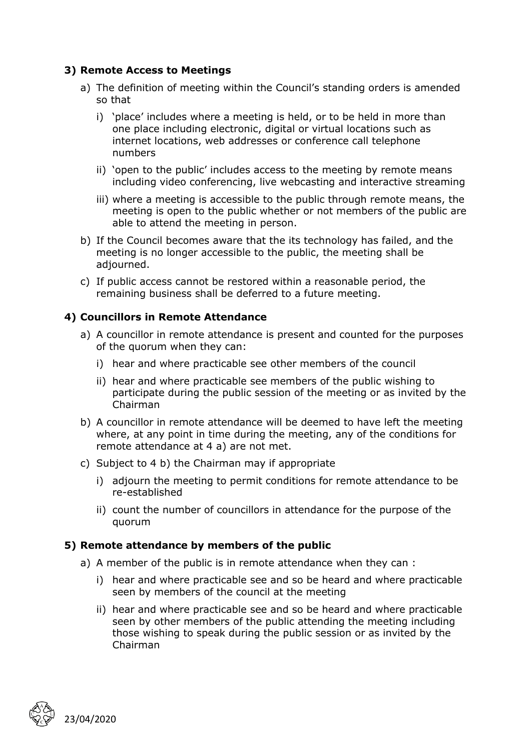## **3) Remote Access to Meetings**

- a) The definition of meeting within the Council's standing orders is amended so that
	- i) 'place' includes where a meeting is held, or to be held in more than one place including electronic, digital or virtual locations such as internet locations, web addresses or conference call telephone numbers
	- ii) 'open to the public' includes access to the meeting by remote means including video conferencing, live webcasting and interactive streaming
	- iii) where a meeting is accessible to the public through remote means, the meeting is open to the public whether or not members of the public are able to attend the meeting in person.
- b) If the Council becomes aware that the its technology has failed, and the meeting is no longer accessible to the public, the meeting shall be adjourned.
- c) If public access cannot be restored within a reasonable period, the remaining business shall be deferred to a future meeting.

### **4) Councillors in Remote Attendance**

- a) A councillor in remote attendance is present and counted for the purposes of the quorum when they can:
	- i) hear and where practicable see other members of the council
	- ii) hear and where practicable see members of the public wishing to participate during the public session of the meeting or as invited by the Chairman
- b) A councillor in remote attendance will be deemed to have left the meeting where, at any point in time during the meeting, any of the conditions for remote attendance at 4 a) are not met.
- c) Subject to 4 b) the Chairman may if appropriate
	- i) adjourn the meeting to permit conditions for remote attendance to be re-established
	- ii) count the number of councillors in attendance for the purpose of the quorum

### **5) Remote attendance by members of the public**

- a) A member of the public is in remote attendance when they can :
	- i) hear and where practicable see and so be heard and where practicable seen by members of the council at the meeting
	- ii) hear and where practicable see and so be heard and where practicable seen by other members of the public attending the meeting including those wishing to speak during the public session or as invited by the Chairman